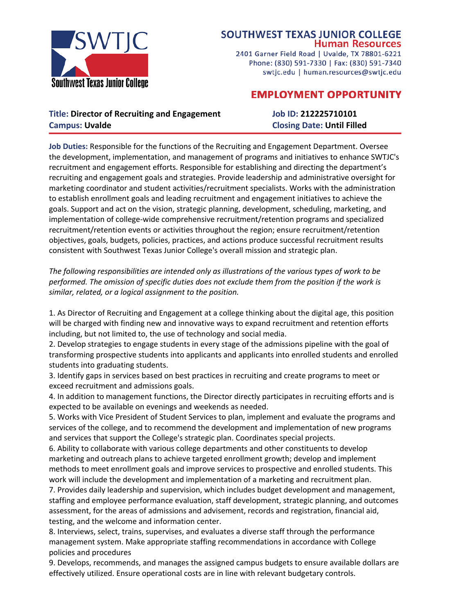

## **SOUTHWEST TEXAS JUNIOR COLLEGE Human Resources**

2401 Garner Field Road | Uvalde, TX 78801-6221 Phone: (830) 591-7330 | Fax: (830) 591-7340 swtjc.edu | human.resources@swtjc.edu

# **EMPLOYMENT OPPORTUNITY**

## **Title: Director of Recruiting and Engagement Job ID: 212225710101 Campus: Uvalde Closing Date: Until Filled**

**Job Duties:** Responsible for the functions of the Recruiting and Engagement Department. Oversee the development, implementation, and management of programs and initiatives to enhance SWTJC's recruitment and engagement efforts. Responsible for establishing and directing the department's recruiting and engagement goals and strategies. Provide leadership and administrative oversight for marketing coordinator and student activities/recruitment specialists. Works with the administration to establish enrollment goals and leading recruitment and engagement initiatives to achieve the goals. Support and act on the vision, strategic planning, development, scheduling, marketing, and implementation of college-wide comprehensive recruitment/retention programs and specialized recruitment/retention events or activities throughout the region; ensure recruitment/retention objectives, goals, budgets, policies, practices, and actions produce successful recruitment results consistent with Southwest Texas Junior College's overall mission and strategic plan.

*The following responsibilities are intended only as illustrations of the various types of work to be performed. The omission of specific duties does not exclude them from the position if the work is similar, related, or a logical assignment to the position.*

1. As Director of Recruiting and Engagement at a college thinking about the digital age, this position will be charged with finding new and innovative ways to expand recruitment and retention efforts including, but not limited to, the use of technology and social media.

2. Develop strategies to engage students in every stage of the admissions pipeline with the goal of transforming prospective students into applicants and applicants into enrolled students and enrolled students into graduating students.

3. Identify gaps in services based on best practices in recruiting and create programs to meet or exceed recruitment and admissions goals.

4. In addition to management functions, the Director directly participates in recruiting efforts and is expected to be available on evenings and weekends as needed.

5. Works with Vice President of Student Services to plan, implement and evaluate the programs and services of the college, and to recommend the development and implementation of new programs and services that support the College's strategic plan. Coordinates special projects.

6. Ability to collaborate with various college departments and other constituents to develop marketing and outreach plans to achieve targeted enrollment growth; develop and implement methods to meet enrollment goals and improve services to prospective and enrolled students. This work will include the development and implementation of a marketing and recruitment plan.

7. Provides daily leadership and supervision, which includes budget development and management, staffing and employee performance evaluation, staff development, strategic planning, and outcomes assessment, for the areas of admissions and advisement, records and registration, financial aid, testing, and the welcome and information center.

8. Interviews, select, trains, supervises, and evaluates a diverse staff through the performance management system. Make appropriate staffing recommendations in accordance with College policies and procedures

9. Develops, recommends, and manages the assigned campus budgets to ensure available dollars are effectively utilized. Ensure operational costs are in line with relevant budgetary controls.